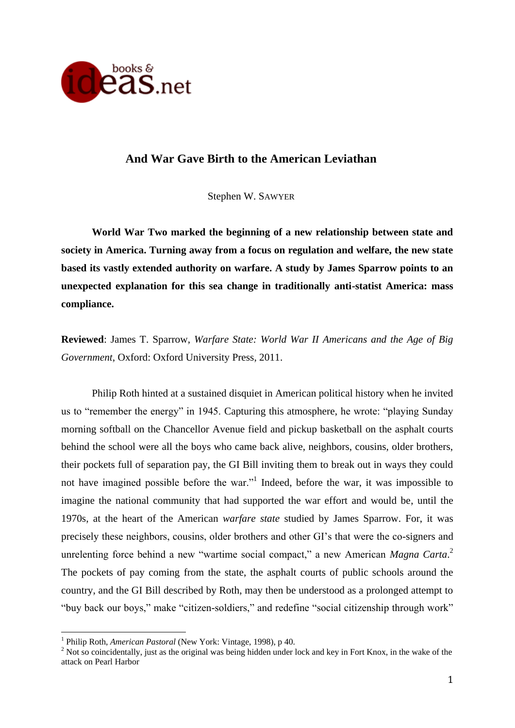

# **And War Gave Birth to the American Leviathan**

Stephen W. SAWYER

**World War Two marked the beginning of a new relationship between state and society in America. Turning away from a focus on regulation and welfare, the new state based its vastly extended authority on warfare. A study by James Sparrow points to an unexpected explanation for this sea change in traditionally anti-statist America: mass compliance.**

**Reviewed**: James T. Sparrow, *Warfare State: World War II Americans and the Age of Big Government*, Oxford: Oxford University Press, 2011.

Philip Roth hinted at a sustained disquiet in American political history when he invited us to "remember the energy" in 1945. Capturing this atmosphere, he wrote: "playing Sunday morning softball on the Chancellor Avenue field and pickup basketball on the asphalt courts behind the school were all the boys who came back alive, neighbors, cousins, older brothers, their pockets full of separation pay, the GI Bill inviting them to break out in ways they could not have imagined possible before the war."<sup>1</sup> Indeed, before the war, it was impossible to imagine the national community that had supported the war effort and would be, until the 1970s, at the heart of the American *warfare state* studied by James Sparrow. For, it was precisely these neighbors, cousins, older brothers and other GI's that were the co-signers and unrelenting force behind a new "wartime social compact," a new American *Magna Carta*. 2 The pockets of pay coming from the state, the asphalt courts of public schools around the country, and the GI Bill described by Roth, may then be understood as a prolonged attempt to "buy back our boys," make "citizen-soldiers," and redefine "social citizenship through work"

<u>.</u>

<sup>&</sup>lt;sup>1</sup> Philip Roth, *American Pastoral* (New York: Vintage, 1998), p 40.

<sup>&</sup>lt;sup>2</sup> Not so coincidentally, just as the original was being hidden under lock and key in Fort Knox, in the wake of the attack on Pearl Harbor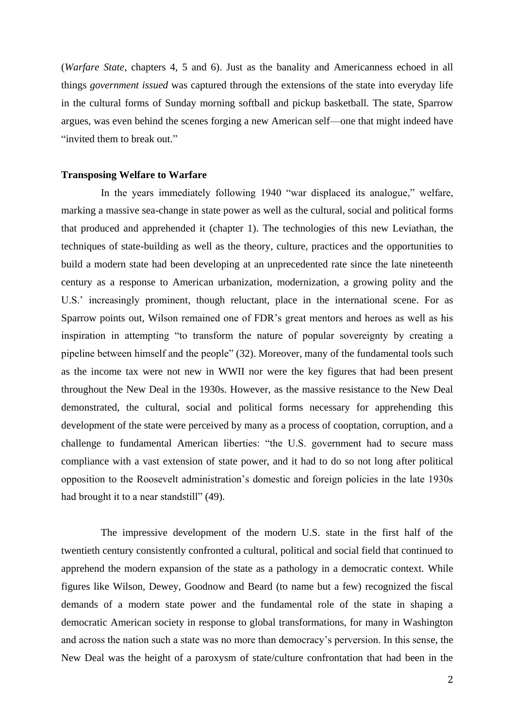(*Warfare State*, chapters 4, 5 and 6). Just as the banality and Americanness echoed in all things *government issued* was captured through the extensions of the state into everyday life in the cultural forms of Sunday morning softball and pickup basketball. The state, Sparrow argues, was even behind the scenes forging a new American self—one that might indeed have "invited them to break out."

## **Transposing Welfare to Warfare**

In the years immediately following 1940 "war displaced its analogue," welfare, marking a massive sea-change in state power as well as the cultural, social and political forms that produced and apprehended it (chapter 1). The technologies of this new Leviathan, the techniques of state-building as well as the theory, culture, practices and the opportunities to build a modern state had been developing at an unprecedented rate since the late nineteenth century as a response to American urbanization, modernization, a growing polity and the U.S.' increasingly prominent, though reluctant, place in the international scene. For as Sparrow points out, Wilson remained one of FDR's great mentors and heroes as well as his inspiration in attempting "to transform the nature of popular sovereignty by creating a pipeline between himself and the people" (32). Moreover, many of the fundamental tools such as the income tax were not new in WWII nor were the key figures that had been present throughout the New Deal in the 1930s. However, as the massive resistance to the New Deal demonstrated, the cultural, social and political forms necessary for apprehending this development of the state were perceived by many as a process of cooptation, corruption, and a challenge to fundamental American liberties: "the U.S. government had to secure mass compliance with a vast extension of state power, and it had to do so not long after political opposition to the Roosevelt administration's domestic and foreign policies in the late 1930s had brought it to a near standstill" (49).

The impressive development of the modern U.S. state in the first half of the twentieth century consistently confronted a cultural, political and social field that continued to apprehend the modern expansion of the state as a pathology in a democratic context. While figures like Wilson, Dewey, Goodnow and Beard (to name but a few) recognized the fiscal demands of a modern state power and the fundamental role of the state in shaping a democratic American society in response to global transformations, for many in Washington and across the nation such a state was no more than democracy's perversion. In this sense, the New Deal was the height of a paroxysm of state/culture confrontation that had been in the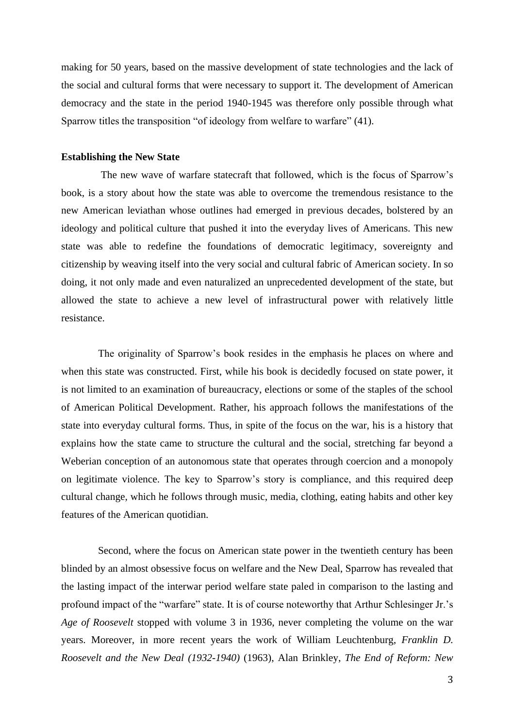making for 50 years, based on the massive development of state technologies and the lack of the social and cultural forms that were necessary to support it. The development of American democracy and the state in the period 1940-1945 was therefore only possible through what Sparrow titles the transposition "of ideology from welfare to warfare" (41).

### **Establishing the New State**

The new wave of warfare statecraft that followed, which is the focus of Sparrow's book, is a story about how the state was able to overcome the tremendous resistance to the new American leviathan whose outlines had emerged in previous decades, bolstered by an ideology and political culture that pushed it into the everyday lives of Americans. This new state was able to redefine the foundations of democratic legitimacy, sovereignty and citizenship by weaving itself into the very social and cultural fabric of American society. In so doing, it not only made and even naturalized an unprecedented development of the state, but allowed the state to achieve a new level of infrastructural power with relatively little resistance.

The originality of Sparrow's book resides in the emphasis he places on where and when this state was constructed. First, while his book is decidedly focused on state power, it is not limited to an examination of bureaucracy, elections or some of the staples of the school of American Political Development. Rather, his approach follows the manifestations of the state into everyday cultural forms. Thus, in spite of the focus on the war, his is a history that explains how the state came to structure the cultural and the social, stretching far beyond a Weberian conception of an autonomous state that operates through coercion and a monopoly on legitimate violence. The key to Sparrow's story is compliance, and this required deep cultural change, which he follows through music, media, clothing, eating habits and other key features of the American quotidian.

Second, where the focus on American state power in the twentieth century has been blinded by an almost obsessive focus on welfare and the New Deal, Sparrow has revealed that the lasting impact of the interwar period welfare state paled in comparison to the lasting and profound impact of the "warfare" state. It is of course noteworthy that Arthur Schlesinger Jr.'s *Age of Roosevelt* stopped with volume 3 in 1936, never completing the volume on the war years. Moreover, in more recent years the work of William Leuchtenburg, *Franklin D. Roosevelt and the New Deal (1932-1940)* (1963), Alan Brinkley, *The End of Reform: New*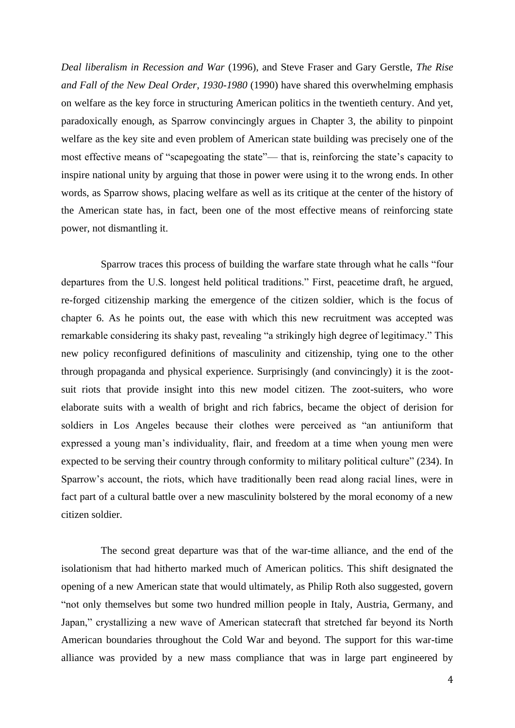*Deal liberalism in Recession and War* (1996), and Steve Fraser and Gary Gerstle, *The Rise and Fall of the New Deal Order, 1930-1980* (1990) have shared this overwhelming emphasis on welfare as the key force in structuring American politics in the twentieth century. And yet, paradoxically enough, as Sparrow convincingly argues in Chapter 3, the ability to pinpoint welfare as the key site and even problem of American state building was precisely one of the most effective means of "scapegoating the state"— that is, reinforcing the state's capacity to inspire national unity by arguing that those in power were using it to the wrong ends. In other words, as Sparrow shows, placing welfare as well as its critique at the center of the history of the American state has, in fact, been one of the most effective means of reinforcing state power, not dismantling it.

Sparrow traces this process of building the warfare state through what he calls "four departures from the U.S. longest held political traditions." First, peacetime draft, he argued, re-forged citizenship marking the emergence of the citizen soldier, which is the focus of chapter 6. As he points out, the ease with which this new recruitment was accepted was remarkable considering its shaky past, revealing "a strikingly high degree of legitimacy." This new policy reconfigured definitions of masculinity and citizenship, tying one to the other through propaganda and physical experience. Surprisingly (and convincingly) it is the zootsuit riots that provide insight into this new model citizen. The zoot-suiters, who wore elaborate suits with a wealth of bright and rich fabrics, became the object of derision for soldiers in Los Angeles because their clothes were perceived as "an antiuniform that expressed a young man's individuality, flair, and freedom at a time when young men were expected to be serving their country through conformity to military political culture" (234). In Sparrow's account, the riots, which have traditionally been read along racial lines, were in fact part of a cultural battle over a new masculinity bolstered by the moral economy of a new citizen soldier.

The second great departure was that of the war-time alliance, and the end of the isolationism that had hitherto marked much of American politics. This shift designated the opening of a new American state that would ultimately, as Philip Roth also suggested, govern "not only themselves but some two hundred million people in Italy, Austria, Germany, and Japan," crystallizing a new wave of American statecraft that stretched far beyond its North American boundaries throughout the Cold War and beyond. The support for this war-time alliance was provided by a new mass compliance that was in large part engineered by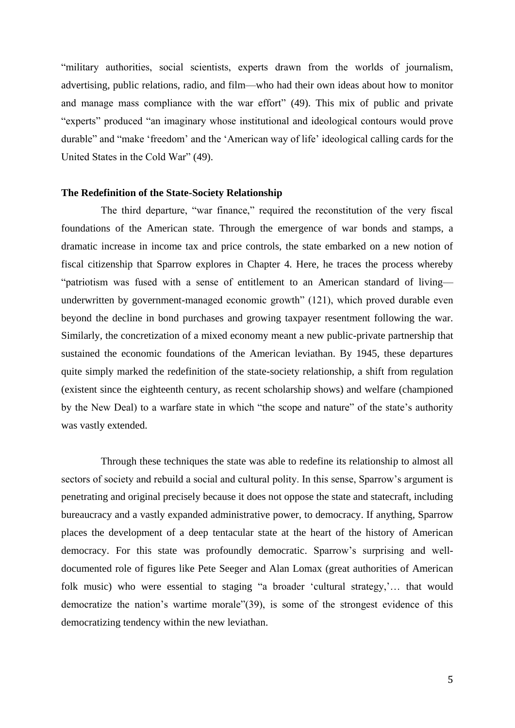"military authorities, social scientists, experts drawn from the worlds of journalism, advertising, public relations, radio, and film—who had their own ideas about how to monitor and manage mass compliance with the war effort" (49). This mix of public and private "experts" produced "an imaginary whose institutional and ideological contours would prove durable" and "make 'freedom' and the 'American way of life' ideological calling cards for the United States in the Cold War" (49).

## **The Redefinition of the State-Society Relationship**

The third departure, "war finance," required the reconstitution of the very fiscal foundations of the American state. Through the emergence of war bonds and stamps, a dramatic increase in income tax and price controls, the state embarked on a new notion of fiscal citizenship that Sparrow explores in Chapter 4. Here, he traces the process whereby "patriotism was fused with a sense of entitlement to an American standard of living underwritten by government-managed economic growth" (121), which proved durable even beyond the decline in bond purchases and growing taxpayer resentment following the war. Similarly, the concretization of a mixed economy meant a new public-private partnership that sustained the economic foundations of the American leviathan. By 1945, these departures quite simply marked the redefinition of the state-society relationship, a shift from regulation (existent since the eighteenth century, as recent scholarship shows) and welfare (championed by the New Deal) to a warfare state in which "the scope and nature" of the state's authority was vastly extended.

Through these techniques the state was able to redefine its relationship to almost all sectors of society and rebuild a social and cultural polity. In this sense, Sparrow's argument is penetrating and original precisely because it does not oppose the state and statecraft, including bureaucracy and a vastly expanded administrative power, to democracy. If anything, Sparrow places the development of a deep tentacular state at the heart of the history of American democracy. For this state was profoundly democratic. Sparrow's surprising and welldocumented role of figures like Pete Seeger and Alan Lomax (great authorities of American folk music) who were essential to staging "a broader 'cultural strategy,'… that would democratize the nation's wartime morale"(39), is some of the strongest evidence of this democratizing tendency within the new leviathan.